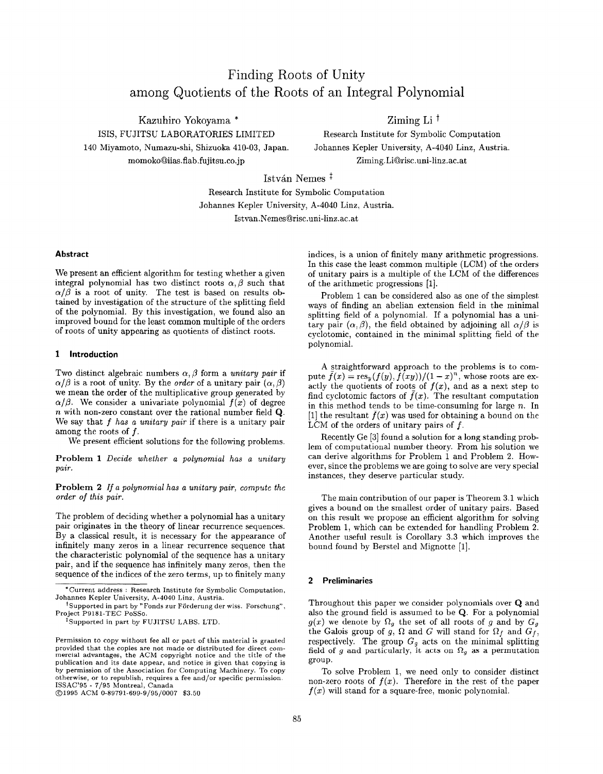# Finding Roots of Unity among Quotients of the Roots of an Integral Polynomial

Kazuhiro Yokoyama \* 2iming Li  $^{\dagger}$ ISIS, FUJITSU LABORATORIES LIMITED Research Institute for Symbolic Computation 140 Miyamoto, Numazu-shi, Shizuoka 410-03, Japan. Johannes Kepler University, A-4o4O Linz, Austria. momoko@iias.flab.fujitsu.co.jp Ziming.Li@risc.uni-linz.ac.at

István Nemes  $\frac{1}{x}$ 

Research Institute for Symbolic Computation Johannes Kepler University, A-4040 Linz, Austria. Istvan.NemesQrisc. uni-linz.ac.at

#### Abstract

We present an efficient algorithm for testing whether a given integral polynomial has two distinct roots  $\alpha, \beta$  such that  $\alpha/\beta$  is a root of unity. The test is based on results obtained by investigation of the structure of the splitting field of the polynomial. By this investigation, we found also an improved bound for the least common multiple of the orders of roots of unity appearing as quotients of distinct roots.

## 1 Introduction

Two distinct algebraic numbers  $\alpha$ ,  $\beta$  form a unitary pair if  $\alpha/\beta$  is a root of unity. By the *order* of a unitary pair  $(\alpha, \beta)$ we mean the order of the multiplicative group generated by  $\alpha/\beta$ . We consider a univariate polynomial  $f(x)$  of degree n with non-zero constant over the rational number field Q. We say that  $f$  has a unitary pair if there is a unitary pair among the roots of  $f$ .

We present efficient solutions for the following problems.

Problem 1 Decide whether a polynomial has a unitary pair.

Problem 2 If a polynomial has a unitary pair, compute the order of this pair.

The problem of deciding whether a polynomial has a unitary pair originates in the theory of linear recurrence sequences. By a classical result, it is necessary for the appearance of infinitely many zeros in a linear recurrence sequence that the characteristic polynomial of the sequence has a unitary pair, and if the sequence has infinitely many zeros, then the sequence of the indices of the zero terms, up to finitely many

@1995 ACM 0-S9791-699-9/95 /0007 \$3.50

indices, is a union of finitely many arithmetic progressions. In this case the least common multiple (LCM) of the orders of unitary pairs is a multiple of the LCM of the differences of the arithmetic progressions [1].

Problem 1 can be considered also as one of the simplest ways of finding an abelian extension field in the minimal splitting field of a polynomial. If a polynomial has a unitary pair  $(\alpha, \beta)$ , the field obtained by adjoining all  $\alpha/\beta$  is cyclotomic, contained in the minimal splitting field of the polynomial.

A Straightforward approach to the problems is to compute  $\bar{f}(x) = \operatorname{res}_y(f(y), f(xy))/(1-x)^n$ , whose roots are exactly the quotients of roots of  $f(x)$ , and as a next step to find cyclotomic factors of  $\bar{f}(x)$ . The resultant computation in this method tends to be time-consuming for large  $n$ . In [1] the resultant  $\bar{f}(x)$  was used for obtaining a bound on the LCM of the orders of unitary pairs of  $f$ .

Recently Ge [3] found a solution for a long standing problem of computational number theory. From his solution we can derive algorithms for Problem 1 and Problem 2. However, since the problems we are going to solve are very special instances, they deserve particular study.

The main contribution of our paper is Theorem 3.1 which gives a bound on the smallest order of unitary pairs. Based on this result we propose an efficient algorithm for solving Problem 1, which can be extended for handling Problem 2. Another useful result is Corollary 3.3 which improves the bound found by Berstel and Mignotte [1],

#### 2 Preliminaries

Throughout this paper we consider polynomials over Q and also the ground field is assumed to be Q. For a polynomial  $g(x)$  we denote by  $\Omega_g$  the set of all roots of g and by  $G_g$ the Galois group of g,  $\Omega$  and G will stand for  $\Omega_f$  and  $G_f$ , respectively. The group  $G_g$  acts on the minimal splitting field of g and particularly, it acts on  $\Omega_g$  as a permutation group.

To solve Problem 1, we need only to consider distinct non-zero roots of  $f(x)$ . Therefore in the rest of the paper  $f(x)$  will stand for a square-free, monic polynomial.

<sup>\*</sup> Current address : Research Institute for Symbolic Computation, Johannes Kepler University, A-4040 Linz, Austria.

 $^\dagger$ Supported in part by "Fonds zur Förderung der wiss. Forschung" , Project P9181-TEC PoSSO.

<sup>&#</sup>x27;Supported in part by FUJITSU LABS, LTD.

Permission to copy without fee all or part of this material is granted provided that the copies are not made or distributed for direct commercial advantages, the ACM copyright notice and the title of the publication and its date appear, and notice is given that copying is by permission of the Association for Computing Machinery. To copy otherwise, or to republish, requires a fee and/or specific permission. ISSAC'95 - 7/95 Montreal, Canada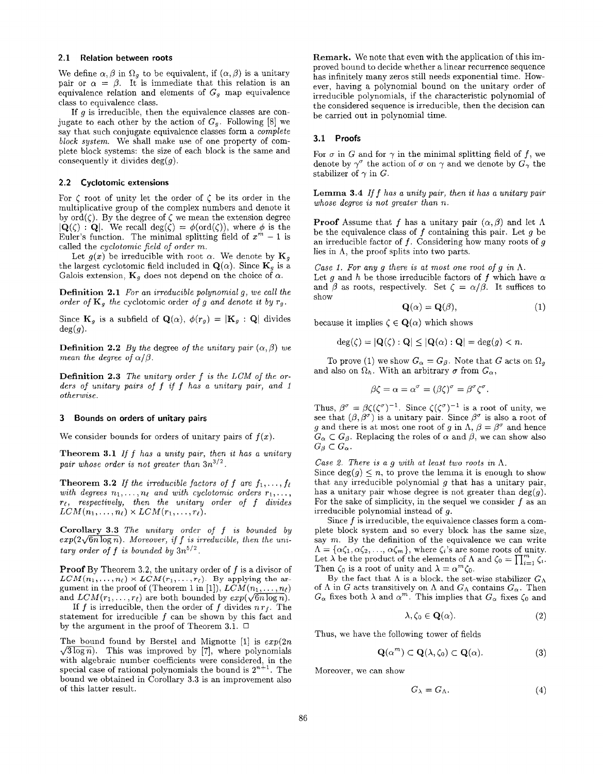#### 2.1 Relation between roots

We define  $\alpha, \beta$  in  $\Omega_g$  to be equivalent, if  $(\alpha, \beta)$  is a unitary pair or  $\alpha = \beta$ . It is immediate that this relation is an equivalence relation and elements of  $G<sub>g</sub>$  map equivalence class to equivalence class.

If  $g$  is irreducible, then the equivalence classes are conjugate to each other by the action of  $G_g$ . Following [8] we say that such conjugate equivalence classes form a complete block system. We shall make use of one property of complete block systems: the size of each block is the same and consequently it divides  $deg(g)$ .

## 2.2 Cyclotomic extensions

For  $\zeta$  root of unity let the order of  $\zeta$  be its order in the multiplicative group of the complex numbers and denote it by  $ord(\zeta)$ . By the degree of  $\zeta$  we mean the extension degree  $|{\bf Q}(\zeta)|$ . We recall  $\deg(\zeta) = \phi(\text{ord}(\zeta))$ , where  $\phi$  is the Euler's function. The minimal splitting field of  $x^m - 1$  is called the cyclotomic field of order m.

Let  $g(x)$  be irreducible with root  $\alpha$ . We denote by  $\mathbf{K}_g$ the largest cyclotomic field included in  $\mathbf{Q}(\alpha)$ . Since  $\mathbf{K}_{q}$  is a Galois extension,  $\mathbf{K}_q$  does not depend on the choice of  $\alpha$ .

Definition 2.1 For an irreducible polynomial g, we call the order of  $\mathbf{K}_g$  the cyclotomic order of g and denote it by  $r_g$ .

Since  $\mathbf{K}_g$  is a subfield of  $\mathbf{Q}(\alpha)$ ,  $\phi(r_g) = |\mathbf{K}_g : \mathbf{Q}|$  divides  $deg(g)$ .

**Definition 2.2** By the degree of the unitary pair  $(\alpha, \beta)$  we mean the degree of  $\alpha/\beta$ .

**Definition 2.3** The unitary order  $f$  is the LCM of the orders of unitary pairs of  $f$  if  $f$  has a unitary pair, and  $1$ otherwise.

#### 3 Bounds on orders of unitary pairs

We consider bounds for orders of unitary pairs of  $f(x)$ .

Theorem 3.1 If  $f$  has a unity pair, then it has a unitary pair whose order is not greater than  $3n^{3/2}$ .

**Theorem 3.2** If the irreducible factors of f are  $f_1, \ldots, f_\ell$ with degrees  $n_1, \ldots, n_\ell$  and with cyclotomic orders  $r_1, \ldots,$  $r_{\ell}$ , respectively, then the unitary order of f divides  $LCM(n_1, \ldots, n_\ell) \times LCM(r_1, \ldots, r_\ell).$ 

Corollary 3.3 The unitary order of f is bounded by  $exp(2\sqrt{6n\log n})$ . Moreover, if f is irreducible, then the unitary order of f is bounded by  $3n^{5/2}$ .

**Proof** By Theorem 3.2, the unitary order of  $f$  is a divisor of  $LCM(n_1, \ldots, n_\ell) \times LCM(r_1, \ldots, r_\ell)$ . By applying the argument in the proof of (Theorem 1 in [1]),  $LCM(n_1, \ldots, n_\ell)$ and  $LCM(r_1, \ldots, r_\ell)$  are both bounded by  $exp(\sqrt{6n \log n})$ .

If  $f$  is irreducible, then the order of  $f$  divides  $n r_f$ . The statement for irreducible  $f$  can be shown by this fact and by the argument in the proof of Theorem 3.1. ❑

The bound found by Berstel and Mignotte  $[1]$  is  $exp(2n)$  $\sqrt{3 \log n}$ . This was improved by [7], where polynomials with algebraic number coefficients were considered, in the special case of rational polynomials the bound is  $2^{n+1}$ . The bound we obtained in Corollary 3.3 is an improvement also of this latter result.

Remark. We note that even with the application of this improved bound to decide whether a linear recurrence sequence has infinitely many zeros still needs exponential time. However, having a polynomial bound on the unitary order of irreducible polynomials, if the characteristic polynomial of the considered sequence is irreducible, then the decision can be carried out in polynomial time.

## 3.1 Proofs

For  $\sigma$  in G and for  $\gamma$  in the minimal splitting field of f, we denote by  $\gamma^{\sigma}$  the action of  $\sigma$  on  $\gamma$  and we denote by  $G_{\gamma}$  the stabilizer of  $\gamma$  in G.

**Lemma 3.4** If  $f$  has a unity pair, then it has a unitary pair whose degree is not greater than n.

**Proof** Assume that f has a unitary pair  $(\alpha, \beta)$  and let  $\Lambda$ be the equivalence class of  $f$  containing this pair. Let  $g$  be an irreducible factor of  $f$ . Considering how many roots of  $g$ lies in  $\Lambda$ , the proof splits into two parts.

Case 1. For any g there is at most one root of g in  $\Lambda$ . Let g and h be those irreducible factors of f which have  $\alpha$ and  $\beta$  as roots, respectively. Set  $\zeta = \alpha/\beta$ . It suffices to show

$$
\mathbf{Q}(\alpha) = \mathbf{Q}(\beta),\tag{1}
$$

because it implies  $\zeta \in \mathbf{Q}(\alpha)$  which shows

$$
\deg(\zeta) = |\mathbf{Q}(\zeta) : \mathbf{Q}| \le |\mathbf{Q}(\alpha) : \mathbf{Q}| = \deg(g) < n.
$$

To prove (1) we show  $G_{\alpha} = G_{\beta}$ . Note that G acts on  $\Omega_{g}$ and also on  $\Omega_h$ . With an arbitrary  $\sigma$  from  $G_\alpha$ ,

$$
\beta \zeta = \alpha = \alpha^{\sigma} = (\beta \zeta)^{\sigma} = \beta^{\sigma} \zeta^{\sigma}.
$$

Thus,  $\beta^{\circ} = \beta \zeta(\zeta^{\circ})^{-1}$ . Since  $\zeta(\zeta^{\circ})^{-1}$  is a root of unity, we see that  $(\beta, \beta^{\circ})$  is a unitary pair. Since  $\beta^{\circ}$  is also a root of g and there is at most one root of g in  $\Lambda$ ,  $\beta = \beta^{\sigma}$  and hence  $G_{\alpha} \subset G_{\beta}$ . Replacing the roles of  $\alpha$  and  $\beta$ , we can show also  $G_{\beta}\subset G_{\alpha}.$ 

Case 2. There is a g with at least two roots in  $\Lambda$ .

Since  $deg(g) \leq n$ , to prove the lemma it is enough to show that any irreducible polynomial  $g$  that has a unitary pair, has a unitary pair whose degree is not greater than  $deg(g)$ . For the sake of simplicity, in the sequel we consider  $f$  as an irreducible polynomial instead of g.

Since f is irreducible, the equivalence classes form a complete block system and so every block has the same size, say  $m$ . By the definition of the equivalence we can write  $\Lambda = {\alpha\zeta_1, \alpha\zeta_2, ..., \alpha\zeta_m}$ , where  $\zeta_i$ 's are some roots of unity. Let  $\lambda$  be the product of the elements of  $\Lambda$  and  $\zeta_0 = \prod_{i=1}^m \zeta_i$ . Then  $\zeta_0$  is a root of unity and  $\lambda = \alpha^m \zeta_0$ .

By the fact that  $\Lambda$  is a block, the set-wise stabilizer  $G_{\Lambda}$ of  $\Lambda$  in G acts transitively on  $\Lambda$  and  $G_{\Lambda}$  contains  $G_{\alpha}$ . Then  $G_{\alpha}$  fixes both  $\lambda$  and  $\alpha^{m}$ . This implies that  $G_{\alpha}$  fixes  $\zeta_0$  and

$$
\lambda, \zeta_0 \in \mathbf{Q}(\alpha). \tag{2}
$$

Thus, we have the following tower of fields

$$
\mathbf{Q}(\alpha^m) \subset \mathbf{Q}(\lambda, \zeta_0) \subset \mathbf{Q}(\alpha). \tag{3}
$$

Moreover, we can show

$$
G_{\lambda} = G_{\Lambda}.\tag{4}
$$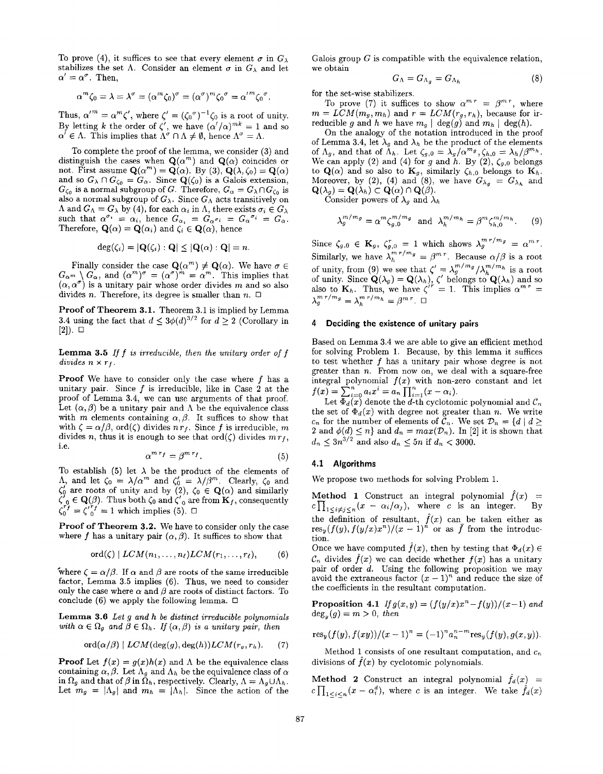To prove (4), it suffices to see that every element  $\sigma$  in  $G_\lambda$  Galois group G is compatible with the equivalence relation, stabilizes the set A. Consider an element  $\sigma$  in  $G_{\lambda}$  and let we obtain  $\alpha' = \alpha^{\sigma}$ . Then,  $\alpha'=\alpha'$ . Then,  $G_{\Lambda}=\alpha_{A_g}=G_{\Lambda_h}$  (8)

$$
\alpha^m \zeta_0 = \lambda = \lambda^{\sigma} = (\alpha^m \zeta_0)^{\sigma} = (\alpha^{\sigma})^m \zeta_0^{\sigma} = {\alpha'}^m \zeta_0^{\sigma}.
$$

Thus,  $\alpha'^m = \alpha^m \zeta'$ , where  $\zeta' = (\zeta_0^{\sigma})^{-1} \zeta_0$  is a root of unity. By letting k the order of  $\zeta$ , we have  $(\alpha'/\alpha)^{mn} = 1$  and so  $\alpha \in \Lambda$ . This implies that  $\Lambda^{\circ} \cap \Lambda \neq \emptyset$ , hence  $\Lambda^{\circ} = \Lambda$ .

To complete the proof of the lemma, we consider (3) and distinguish the cases when  $\mathbf{Q}(\alpha^m)$  and  $\mathbf{Q}(\alpha)$  coincides or not. First assume  $\mathbf{Q}(\alpha^m) = \mathbf{Q}(\alpha)$ . By (3),  $\mathbf{Q}(\lambda, \zeta_0) = \mathbf{Q}(\alpha)$ and so  $G_{\lambda} \cap G_{\zeta_0} = G_{\alpha}$ . Since  $\mathbf{Q}(\zeta_0)$  is a Galois extension  $G_{\zeta_0}$  is a normal subgroup of  $G$ . Therefore,  $G_\alpha = G_\lambda \cap G_{\zeta_0}$  is also a normal subgroup of  $G_{\lambda}$ . Since  $G_{\Lambda}$  acts transitively on  $\Lambda$  and  $G_{\Lambda} = G_{\lambda}$  by (4), for each  $\alpha_i$  in  $\Lambda$ , there exists  $\sigma_i \in G_{\lambda}$ such that  $\alpha^{\dagger} = \alpha_i$ , hence  $\alpha_{\alpha_i} = \alpha_{\alpha} \alpha_i = \alpha_{\alpha} \alpha_i = \alpha_{\alpha}$ Therefore,  $\mathbf{Q}(\alpha) = \mathbf{Q}(\alpha_i)$  and  $\zeta_i \in \mathbf{Q}(\alpha)$ , hence

$$
\deg(\zeta_i)=|\mathbf{Q}(\zeta_i):\mathbf{Q}|\leq |\mathbf{Q}(\alpha):\mathbf{Q}|=n.
$$

rinally consider the case  $\mathbf{Q}(\alpha^m) \neq \mathbf{Q}(\alpha)$ . We have  $\sigma \in$  $G_{\alpha^m} \setminus G_{\alpha}$ , and  $(\alpha^m)^\alpha = (\alpha^m)^\alpha = \alpha^m$ . This implies that  $(\alpha, \alpha^{\sigma})$  is a unitary pair whose order divides  $m$  and so also divides *n*. Therefore, its degree is smaller than *n*.  $\Box$ 

Proof of Theorem 3.1. Theorem 3.1 is implied by Lemma 3.4 using the fact that  $d \leq 3\phi(d)^{3/2}$  for  $d \geq 2$  (Corollary in [2]). ❑

**Lemma 3.5** If  $f$  is irreducible, then the unitary order of  $f$ divides  $n \times r_f$ .

**Proof** We have to consider only the case where  $f$  has a unitary pair. Since  $f$  is irreducible, like in Case 2 at the proof of Lemma 3.4, we can use arguments of that proof. Let  $(\alpha, \beta)$  be a unitary pair and  $\Lambda$  be the equivalence class with m elements containing  $\alpha$ ,  $\beta$ . It suffices to show that with  $\zeta = \alpha/\beta$ , ord $(\zeta)$  divides  $n r_f$ . Since f is irreducible, m divides n, thus it is enough to see that  $\text{ord}(\zeta)$  divides  $m r_f$ , i.e.

$$
\alpha^{m\,r_f} = \beta^{m\,r_f}.\tag{5}
$$

To establish (5) let  $\lambda$  be the product of the elements of  $\Lambda$ , and let  $\zeta_0 = \lambda/\alpha^m$  and  $\zeta_0' = \lambda/\beta^m$ . Clearly,  $\zeta_0$  and We propose two methods for solving Problem 1.  $\zeta_0$  are roots of unity and by (2),  $\zeta_0 \in \mathbf{Q}(\alpha)$  and similar  $\zeta_0 \in \mathbf{Q}(p)$ . Thus both  $\zeta_0$  and  $\zeta_0$  are from  $\mathbf{K}_f$ , consequent  $\zeta_0^{\circ} = \zeta_0^{\circ} = 1$  which implies (5).  $\Box$ 

Proof of Theorem 3.2. We have to consider only the case where f has a unitary pair  $(\alpha, \beta)$ . It suffices to show that tion.

$$
\mathrm{ord}(\zeta) \mid LCM(n_1,\ldots,n_\ell)LCM(r_1,\ldots,r_\ell),\qquad (6)
$$

where  $\zeta = \alpha/\beta$ . If  $\alpha$  and  $\beta$  are roots of the same irreducible factor, Lemma 3.5 implies (6), Thus, we need to consider only the case where  $\alpha$  and  $\beta$  are roots of distinct factors. To conclude (6) we apply the following lemma.  $\Box$ 

Lemma 3.6 Let g and h be distinct irreducible polynomials with  $\alpha \in \Omega_g$  and  $\beta \in \Omega_h$ . If  $(\alpha, \beta)$  is a unitary pair, then

$$
\mathrm{ord}(\alpha/\beta) \mid LCM(\deg(g), \deg(h)) LCM(r_g, r_h). \qquad (7)
$$

**Proof** Let  $f(x) = g(x)h(x)$  and  $\Lambda$  be the equivalence class containing  $\alpha, \beta$ . Let  $\Lambda_g$  and  $\Lambda_h$  be the equivalence class of  $\alpha$ in  $\Omega_g$  and that of  $\beta$  in  $\tilde{\Omega}_h$ , respectively. Clearly,  $\Lambda = \Lambda_g \cup \Lambda_h$ . Let  $m_g = |\Lambda_g|$  and  $m_h = |\Lambda_h|$ . Since the action of the

$$
G_{\Lambda} = G_{\Lambda_g} = G_{\Lambda_h} \tag{8}
$$

for the set-wise stabilizers.

To prove (7) it suffices to show  $\alpha^{m r} = \beta^{m r}$ , where  $m = LCM(m_g, m_h)$  and  $r = LCM(r_g, r_h)$ , because for irreducible g and h we have  $m_g \mid \text{deg}(g)$  and  $m_h \mid \text{deg}(h)$ .

On the analogy of the notation introduced in the proof of Lemma 3.4, let  $\lambda_g$  and  $\lambda_h$  be the product of the elements of  $\Lambda_g$ , and that of  $\Lambda_h$ . Let  $\zeta_{g,0} = \lambda_g / \alpha^{m_g}, \zeta_{h,0} = \lambda_h / \beta^{m_h}$ . We can apply (2) and (4) for g and h. By (2),  $\zeta_{g,0}$  belongs to  $\mathbf{Q}(\alpha)$  and so also to  $\mathbf{K}_g$ , similarly  $\zeta_{h,0}$  belongs to  $\mathbf{K}_h$ . Moreover, by (2), (4) and (8), we have  $G_{\lambda_a} = G_{\lambda_b}$  and  $\mathbf{Q}(\lambda_{g})=\mathbf{Q}(\lambda_{h})\subset\mathbf{Q}(\alpha)\cap\mathbf{Q}(\beta).$ 

Consider powers of  $\lambda_g$  and  $\lambda_h$ 

$$
\lambda_g^{m/m_g} = \alpha^m \zeta_{g,0}^{m/m_g} \text{ and } \lambda_h^{m/m_h} = \beta^m \zeta_{h,0}^{m/m_h}.
$$
 (9)

Since  $\zeta_{q,0} \in \mathbf{K}_q$ ,  $\zeta_{q,0} = 1$  which shows  $\lambda_q$ <sup>"'''"</sup> =  $\alpha$ " Similarly, we have  $\lambda_h$   $\lambda_h$   $\lambda_h$  =  $\beta^{m}$ . Because  $\alpha/\beta$  is a root of unity, from (9) we see that  $\zeta' = \lambda_g^{m \cdots m} / \lambda_h^{m \cdots m}$  is a root of unity. Since  $\mathbf{Q}(\lambda_g) = \mathbf{Q}(\lambda_h)$ ,  $\zeta$  belongs to  $\mathbf{Q}(\lambda_h)$  and so also to  $\mathbf{K}_h$ . Thus, we have  $\zeta^{\prime\prime} = 1$ . This implies  $\alpha^{\prime\prime\prime} =$  $\lambda_g^{m~r/m_g} = \lambda_h^{m~r/m_h} = \beta^{m~r}$ .  $\Box$ 

## 4 Deciding the existence of unitary pairs

Based on Lemma 3.4 we are able to give an efficient method for solving Problem 1. Because, by this lemma it suffices to test whether  $f$  has a unitary pair whose degree is not greater than  $n$ . From now on, we deal with a square-free integral polynomial  $f(x)$  with non-zero constant and let  $f(x) = \sum_{i=0} a_i x^i = a_n \prod_{i=1} (x - \alpha_i).$ 

Let  $\Phi_d(x)$  denote the  $d$ -th cyclotomic polynomial and  $\mathcal{C}_i$ the set of  $\Phi_d(x)$  with degree not greater than n. We write  $c_n$  for the number of elements of  $\mathcal{C}_n$ . We set  $\mathcal{D}_n=\{d\mid d\geq 0\}$ 2 and  $\phi(a) \leq n$  and  $d_n = max(\mathcal{D}_n)$ . In [2] it is shown that  $d_n \leq 3n^{\alpha/2}$  and also  $d_n \leq 5n$  if  $d_n < 300$ .

## 4,1 Algorithms

Method 1 Construct an integral polynomial  $\hat{f}(x)$  =  $c\prod_{1\leq i\neq j\leq n}(x-\alpha_i/\alpha_j)$ , where c is an integer. the definition of resultant,  $f(x)$  can be taken either as  $res_y(f(y), f(y/x)x^n)/(x - 1)^n$  or as f from the introduc-

Once we have computed  $\hat{f}(x)$ , then by testing that  $\Phi_d(x) \in$  $\mathcal{C}_n$  divides  $f(x)$  we can decide whether  $f(x)$  has a unitary pair of order d. Using the following proposition we may avoid the extraneous factor  $(x - 1)^n$  and reduce the size of the coefficients in the resultant computation.

Proposition 4.1 If  $g(x,y) = (f(y/x)x^{n}-f(y))/(x-1)$  and  $deg_u(g) = m > 0$ , then

$$
res_y(f(y), f(xy))/(x-1)^n = (-1)^n a_n^{n-m} res_y(f(y), g(x, y)).
$$

Method 1 consists of one resultant computation, and  $c_n$ divisions of  $\hat{f}(x)$  by cyclotomic polynomials.

**Method 2** Construct an integral polynomial  $\hat{f}_d(x)$  =  $c\prod_{1\leq i\leq n}(x - \alpha_i^d)$ , where c is an integer. We take  $\hat{f}_d(x)$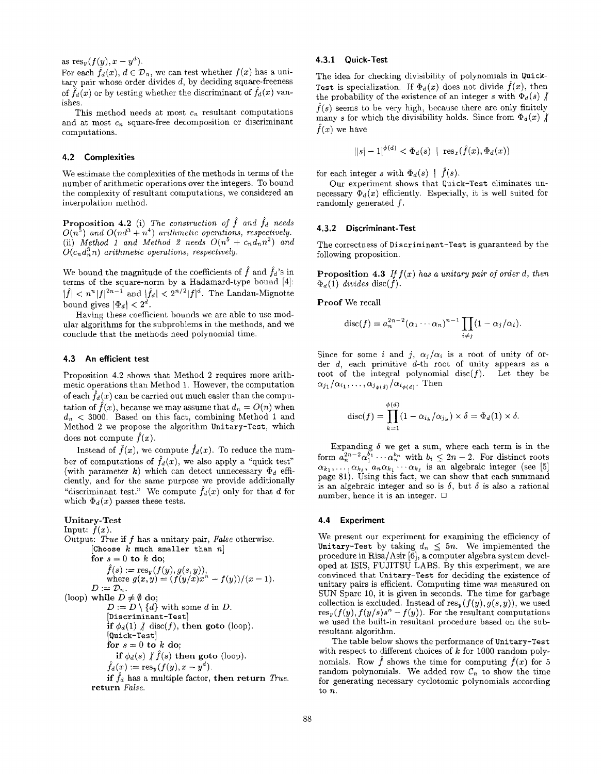as  $res_y(f(y), x - y^d)$ .

For each  $\hat{f}_d(x)$ ,  $d \in \mathcal{D}_n$ , we can test whether  $f(x)$  has a unitary pair whose order divides  $d$ , by deciding square-freeness of  $\hat{f}_d(x)$  or by testing whether the discriminant of  $f_d(x)$  vanishes.

This method needs at most  $c_n$  resultant computations and at most  $c_n$  square-free decomposition or discriminant computations.

#### 4.2 Complexities

We estimate the complexities of the methods in terms of the number of arithmetic operations over the integers. To bound the complexity of resultant computations, we considered an interpolation method.

**Proposition 4.2** (i) The construction of f and  $f_d$  needs  $O(n^{\circ})$  and  $O(nd^{\circ} + n^{\circ})$  arithmetic operations, respectively. (ii) Method 1 and Method 2 needs  $O(n^5 + c_n d_n n^2)$  and  $O(c_n d_n^3 n)$  arithmetic operations, respectively.

We bound the magnitude of the coefficients of  $\hat{f}$  and  $\hat{f}_d$ 's in  ${\rm terms~ot~the~square-norm~by~a~Hadamard-type~bound~[4]}$  $|f| < n^{n} |f|^{2n-1}$  and  $|f_d| < 2^{n/2} |f|^{\alpha}$ . The Landau-Mignorm bound gives  $|\Phi_d| < 2^a$ .

Having these coefficient bounds we are able to use modular algorithms for the subproblems in the methods, and we conclude that the methods need polynomial time.

## 4.3 An efficient test

Proposition 4.2 shows that Method 2 requires more arithmetic operations than Method 1. However, the computation of each  $\hat{f}_d(x)$  can be carried out much easier than the computation of  $\hat{f}(x)$ , because we may assume that  $d_n = O(n)$  when  $d_n < 3000$ . Based on this fact, combining Method 1 and Method 2 we propose the algorithm Unitary-Test, which does not compute  $\ddot{f}(x)$ .

Instead of  $\hat{f}(x)$ , we compute  $\hat{f}_d(x)$ . To reduce the number of computations of  $\hat{f}_d(x)$ , we also apply a "quick test" (with parameter k) which can detect unnecessary  $\Phi_d$  efficiently, and for the same purpose we provide additionally "discriminant test." We compute  $\hat{f}_d(x)$  only for that d for which  $\Phi_d(x)$  passes these tests.

## Unitary-Test

Input: 
$$
f(x)
$$
.  
\nOutput: True if f has a unitary pair, False otherwise.  
\n[Choose k much smaller than n]  
\nfor  $s = 0$  to k do;  
\n $\hat{f}(s) := \operatorname{res}_y(f(y), g(s, y)),$   
\nwhere  $g(x, y) = (f(y/x)x^n - f(y))/(x - 1).$   
\n $D := D_n.$   
\n(loop) while  $D \neq \emptyset$  do;  
\n $D := D \setminus \{d\}$  with some d in D.  
\n[Discriminant-Test]  
\nif  $\phi_d(1) \nmid \text{disc}(f)$ , then goto (loop).  
\n[Quick-Test]  
\nfor  $s = 0$  to k do;  
\nif  $\phi_d(s) \nmid \hat{f}(s)$  then goto (loop).  
\n $\hat{f}_d(x) := \operatorname{res}_y(f(y), x - y^d).$   
\nif  $\hat{f}_d$  has a multiple factor, then return True  
\nreturn False.

#### 4.3.1 Quick-Test

The idea for checking divisibility of polynomials in Quick-Test is specialization. If  $\Phi_d(x)$  does not divide  $\bar{f}(x)$ , then the probability of the existence of an integer s with  $\Phi_d (s)$   $\parallel$  $\hat{f}(s)$  seems to be very high, because there are only finitely many s for which the divisibility holds. Since from  $\Phi_d(x)$  /  $f(x)$  we have

$$
||s| - 1|^{\phi(d)} < \Phi_d(s) \mid \operatorname{res}_x(\hat{f}(x), \Phi_d(x))
$$

for each integer s with  $\Phi_d(s)$  |  $\hat{f}(s)$ .

Our experiment shows that Quick-Test eliminates unnecessary  $\Phi_d(x)$  efficiently. Especially, it is well suited for randomly generated f.

#### 4.3,2 Discriminant-Test

The correctness of Discriminant-Test is guaranteed by the following proposition.

**Proposition 4.3** If  $f(x)$  has a unitary pair of order d, then  $\Phi_d(1)$  divides disc(f).

Proof We recall

$$
\mathrm{disc}(f) = a_n^{2n-2} (\alpha_1 \cdots \alpha_n)^{n-1} \prod_{i \neq j} (1 - \alpha_j/\alpha_i).
$$

Since for some i and j,  $\alpha_j / \alpha_i$  is a root of unity of order d, each primitive d-th root of unity appears as a root of the integral polynomial  $\text{disc}(f)$ . Let they be  $\alpha_{j_1}/\alpha_{i_1}, \ldots, \alpha_{j_{\phi(d)}}/\alpha_{i_{\phi(d)}}.$  Then

$$
\operatorname{disc}(f) = \prod_{k=1}^{\phi(d)} (1 - \alpha_{i_k}/\alpha_{j_k}) \times \delta = \Phi_d(1) \times \delta.
$$

Expanding  $\delta$  we get a sum, where each term is in the form  $a_n^{2n-2} \alpha_1^{b_1} \cdots \alpha_n^{b_n}$  with  $b_i \leq 2n-2$ . For distinct root  $\alpha_{k_1}, \ldots, \alpha_{k_\ell}, \ a_n \alpha_{k_1} \cdots \alpha_{k_\ell}$  is an algebraic integer (see [5] page 81). Using this fact, we can show that each summand is an algebraic integer and so is  $\delta$ , but  $\delta$  is also a rational number, hence it is an integer.  $\square$ 

#### 4.4 Experiment

We present our experiment for examining the efficiency of Unitary-Test by taking  $d_n \leq 5n$ . We implemented the procedure in Rlsa/Asir [6], a computer algebra system developed at ISIS, FUJITSU LABS. By this experiment, we are convinced that Unitary-Test for deciding the existence of unitary pairs is efficient. Computing time was measured on SUN Spare 10, it is given in seconds. The time for garbage collection is excluded. Instead of  $res_y(f(y), g(s, y))$ , we used  $res_y(f(y), f(y/s)^n - f(y))$ . For the resultant computations we used the built-in resultant procedure based on the subresultant algorithm.

The table below shows the performance of Unitary-Test with respect to different choices of  $k$  for 1000 random polynomials. Row  $\hat{f}$  shows the time for computing  $\hat{f}(x)$  for 5 random polynomials. We added row  $C_n$  to show the time for generating necessary cyclotomic polynomials according to n.